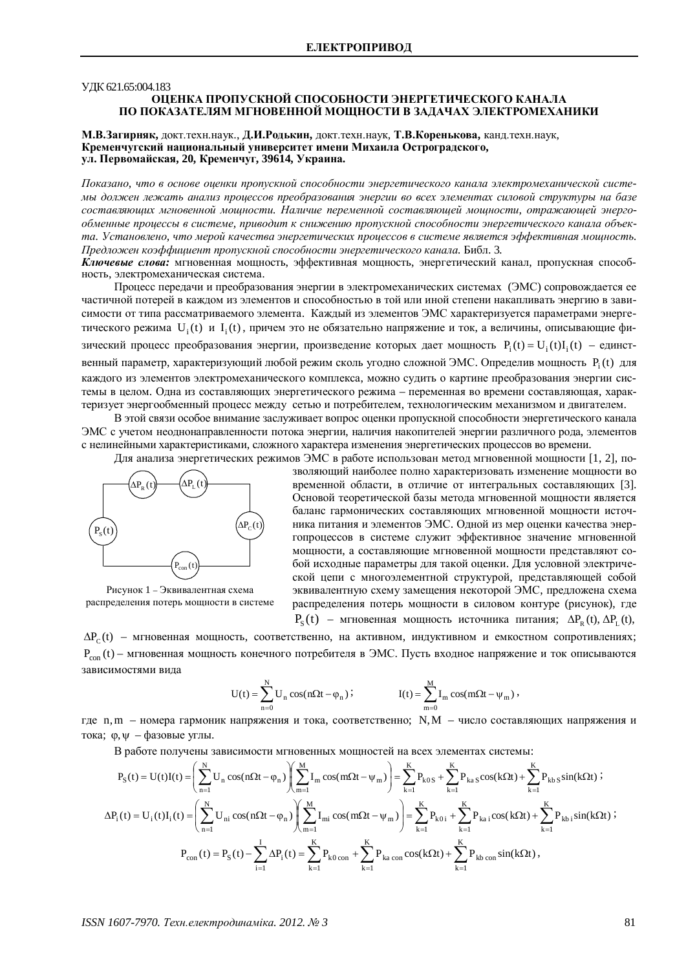### УЛК 621.65:004.183

## **ОЦЕНКА ПРОПУСКНОЙ СПОСОБНОСТИ ЭНЕРГЕТИЧЕСКОГО КАНАЛА** ПО ПОКАЗАТЕЛЯМ МГНОВЕННОЙ МОЩНОСТИ В ЗАДАЧАХ ЭЛЕКТРОМЕХАНИКИ

## М.В.Загирняк, докт.техн.наук., Д.И.Родькин, докт.техн.наук, Т.В.Коренькова, канд.техн.наук, Кременчугский национальный университет имени Михаила Остроградского, ул. Первомайская, 20, Кременчуг, 39614, Украина.

*ɉɨɤɚɡɚɧɨ, ɱɬɨɜɨɫɧɨɜɟɨɰɟɧɤɢɩɪɨɩɭɫɤɧɨɣɫɩɨɫɨɛɧɨɫɬɢɷɧɟɪɝɟɬɢɱɟɫɤɨɝɨɤɚɧɚɥɚɷɥɟɤɬɪɨɦɟɯɚɧɢɱɟɫɤɨɣɫɢɫɬɟ*мы должен лежать анализ проиессов преобразования энергии во всех элементах силовой структуры на базе составляющих мгновенной мошности. Наличие переменной составляющей мошности, отражающей энерго*ɨɛɦɟɧɧɵɟɩɪɨɰɟɫɫɵɜɫɢɫɬɟɦɟ, ɩɪɢɜɨɞɢɬɤɫɧɢɠɟɧɢɸɩɪɨɩɭɫɤɧɨɣɫɩɨɫɨɛɧɨɫɬɢɷɧɟɪɝɟɬɢɱɟɫɤɨɝɨɤɚɧɚɥɚɨɛɴɟɤ*та. Установлено, что мерой качества энергетических проиессов в системе является эффективная мошность. *ɉɪɟɞɥɨɠɟɧɤɨɷɮɮɢɰɢɟɧɬɩɪɨɩɭɫɤɧɨɣɫɩɨɫɨɛɧɨɫɬɢɷɧɟɪɝɟɬɢɱɟɫɤɨɝɨɤɚɧɚɥɚ.*Ȼɢɛɥ. 3*.*

Ключевые слова: мгновенная мощность, эффективная мощность, энергетический канал, пропускная способность, электромеханическая система.

Процесс передачи и преобразования энергии в электромеханических системах (ЭМС) сопровождается ее частичной потерей в каждом из элементов и способностью в той или иной степени накапливать энергию в зависимости от типа рассматриваемого элемента. Каждый из элементов ЭМС характеризуется параметрами энергетического режима U<sub>i</sub>(t) и I<sub>i</sub>(t), причем это не обязательно напряжение и ток, а величины, описывающие физический процесс преобразования энергии, произведение которых дает мощность  $P_i(t) = U_i(t)I_i(t) - e$ динственный параметр, характеризующий любой режим сколь угодно сложной ЭМС. Определив мощность  $P_i(t)$  для кажлого из элементов электромеханического комплекса, можно сулить о картине преобразования энергии системы в целом. Одна из составляющих энергетического режима – переменная во времени составляющая, характеризует энергообменный процесс между сетью и потребителем, технологическим механизмом и двигателем.

В этой связи особое внимание заслуживает вопрос оценки пропускной способности энергетического канала ЭМС с учетом неоднонаправленности потока энергии, наличия накопителей энергии различного рода, элементов с нелинейными характеристиками, сложного характера изменения энергетических процессов во времени.

Для анализа энергетических режимов ЭМС в работе использован метод мгновенной мощности [1, 2], по-



Рисунок 1 – Эквивалентная схема распределения потерь мощности в системе

зволяющий наиболее полно характеризовать изменение мощности во временной области, в отличие от интегральных составляющих [3]. Основой теоретической базы метода мгновенной мощности является баланс гармонических составляющих мгновенной мощности источника питания и элементов ЭМС. Одной из мер оценки качества энергопроцессов в системе служит эффективное значение мгновенной мощности, а составляющие мгновенной мощности представляют собой исходные параметры для такой оценки. Для условной электрической цепи с многоэлементной структурой, представляющей собой эквивалентную схему замещения некоторой ЭМС, предложена схема распределения потерь мощности в силовом контуре (рисунок), где  $P_{\rm s}$ (t) – мгновенная мощность источника питания;  $\Delta P_{\rm R}$ (t),  $\Delta P_{\rm L}$ (t),

 $\Delta P_{\rm c}({\rm t})$  – мгновенная мощность, соответственно, на активном, индуктивном и емкостном сопротивлениях;  $P_{con}(t)$  – мгновенная мощность конечного потребителя в ЭМС. Пусть входное напряжение и ток описываются зависимостями вида

$$
U(t) = \sum_{n=0}^{N} U_n \cos(n\Omega t - \varphi_n) ; \qquad \qquad I(t) = \sum_{m=0}^{M} I_m \cos(m\Omega t - \psi_m) ,
$$

где n,m – номера гармоник напряжения и тока, соответственно; N,M – число составляющих напряжения и тока;  $\varphi, \psi$  – фазовые углы.

В работе получены зависимости мгновенных мошностей на всех элементах системы:

$$
P_S(t) = U(t)I(t) = \left(\sum_{n=1}^{N} U_n \cos(n\Omega t - \varphi_n)\right)\left(\sum_{m=1}^{M} I_m \cos(m\Omega t - \psi_m)\right) = \sum_{k=1}^{K} P_{k0S} + \sum_{k=1}^{K} P_{kaS} \cos(k\Omega t) + \sum_{k=1}^{K} P_{kbS} \sin(k\Omega t) ;
$$
  
\n
$$
\Delta P_i(t) = U_i(t)I_i(t) = \left(\sum_{n=1}^{N} U_{ni} \cos(n\Omega t - \varphi_n)\right)\left(\sum_{m=1}^{M} I_{mi} \cos(m\Omega t - \psi_m)\right) = \sum_{k=1}^{K} P_{k0i} + \sum_{k=1}^{K} P_{kai} \cos(k\Omega t) + \sum_{k=1}^{K} P_{kbi} \sin(k\Omega t) ;
$$
  
\n
$$
P_{con}(t) = P_S(t) - \sum_{i=1}^{I} \Delta P_i(t) = \sum_{k=1}^{K} P_{k0 \text{ con }} + \sum_{k=1}^{K} P_{ka \text{ con }} \cos(k\Omega t) + \sum_{k=1}^{K} P_{kb \text{ con }} \sin(k\Omega t) ,
$$